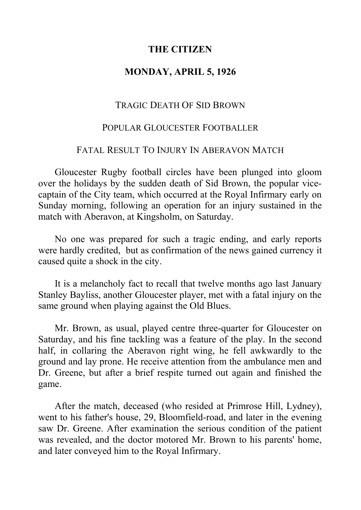# **THE CITIZEN**

## **MONDAY, APRIL 5, 1926**

#### TRAGIC DEATH OF SID BROWN

# POPULAR GLOUCESTER FOOTBALLER

# FATAL RESULT TO INJURY IN ABERAVON MATCH

Gloucester Rugby football circles have been plunged into gloom over the holidays by the sudden death of Sid Brown, the popular vicecaptain of the City team, which occurred at the Royal Infirmary early on Sunday morning, following an operation for an injury sustained in the match with Aberavon, at Kingsholm, on Saturday.

No one was prepared for such a tragic ending, and early reports were hardly credited, but as confirmation of the news gained currency it caused quite a shock in the city.

It is a melancholy fact to recall that twelve months ago last January Stanley Bayliss, another Gloucester player, met with a fatal injury on the same ground when playing against the Old Blues.

Mr. Brown, as usual, played centre three-quarter for Gloucester on Saturday, and his fine tackling was a feature of the play. In the second half, in collaring the Aberavon right wing, he fell awkwardly to the ground and lay prone. He receive attention from the ambulance men and Dr. Greene, but after a brief respite turned out again and finished the game.

After the match, deceased (who resided at Primrose Hill, Lydney), went to his father's house, 29, Bloomfield-road, and later in the evening saw Dr. Greene. After examination the serious condition of the patient was revealed, and the doctor motored Mr. Brown to his parents' home, and later conveyed him to the Royal Infirmary.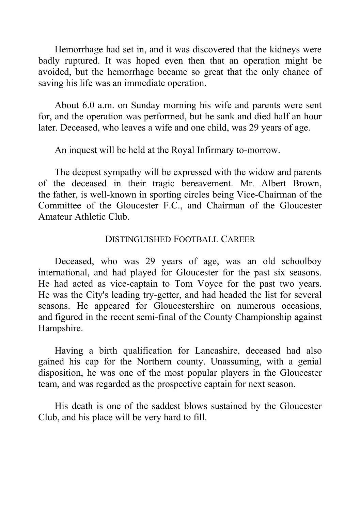Hemorrhage had set in, and it was discovered that the kidneys were badly ruptured. It was hoped even then that an operation might be avoided, but the hemorrhage became so great that the only chance of saving his life was an immediate operation.

About 6.0 a.m. on Sunday morning his wife and parents were sent for, and the operation was performed, but he sank and died half an hour later. Deceased, who leaves a wife and one child, was 29 years of age.

An inquest will be held at the Royal Infirmary to-morrow.

The deepest sympathy will be expressed with the widow and parents of the deceased in their tragic bereavement. Mr. Albert Brown, the father, is well-known in sporting circles being Vice-Chairman of the Committee of the Gloucester F.C., and Chairman of the Gloucester Amateur Athletic Club.

### DISTINGUISHED FOOTBALL CAREER

Deceased, who was 29 years of age, was an old schoolboy international, and had played for Gloucester for the past six seasons. He had acted as vice-captain to Tom Voyce for the past two years. He was the City's leading try-getter, and had headed the list for several seasons. He appeared for Gloucestershire on numerous occasions, and figured in the recent semi-final of the County Championship against Hampshire.

Having a birth qualification for Lancashire, deceased had also gained his cap for the Northern county. Unassuming, with a genial disposition, he was one of the most popular players in the Gloucester team, and was regarded as the prospective captain for next season.

His death is one of the saddest blows sustained by the Gloucester Club, and his place will be very hard to fill.